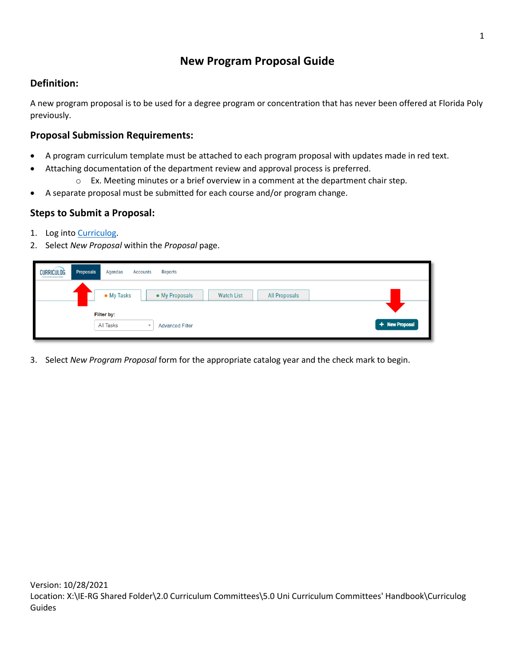# **New Program Proposal Guide**

### **Definition:**

A new program proposal is to be used for a degree program or concentration that has never been offered at Florida Poly previously.

#### **Proposal Submission Requirements:**

- A program curriculum template must be attached to each program proposal with updates made in red text.
- Attaching documentation of the department review and approval process is preferred.
	- o Ex. Meeting minutes or a brief overview in a comment at the department chair step.
- A separate proposal must be submitted for each course and/or program change.

#### **Steps to Submit a Proposal:**

- 1. Log into [Curriculog.](https://floridapolytechnic.curriculog.com/)
- 2. Select *New Proposal* within the *Proposal* page.

| <b>CURRICULOG</b><br>CORRICOLUM MANAGEMENT | Proposals<br>Agendas<br>Reports<br><b>Accounts</b>                        |                |
|--------------------------------------------|---------------------------------------------------------------------------|----------------|
|                                            | • My Tasks<br><b>Watch List</b><br>• My Proposals<br><b>All Proposals</b> |                |
|                                            | Filter by:                                                                |                |
|                                            | All Tasks<br><b>Advanced Filter</b><br>$\overline{\phantom{a}}$           | + New Proposal |

3. Select *New Program Proposal* form for the appropriate catalog year and the check mark to begin.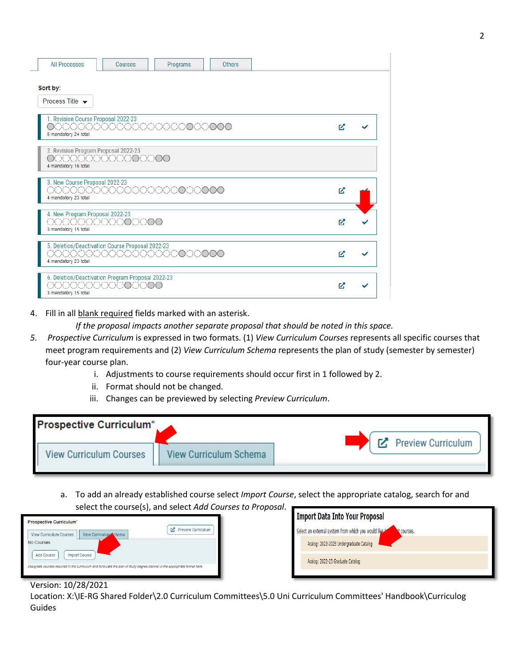| <b>All Processes</b>                                         | Courses                                                                      | Programs | <b>Others</b> |     |  |
|--------------------------------------------------------------|------------------------------------------------------------------------------|----------|---------------|-----|--|
| Sort by:<br>Process Title $\rightarrow$                      |                                                                              |          |               |     |  |
| 1. Revision Course Proposal 2022-23<br>5 mandatory 24 total  | 000000000000000000000000                                                     |          |               | rZ. |  |
| 2. Revision Program Proposal 2022-23<br>4 mandatory 16 total | 000000000000000                                                              |          |               |     |  |
| 3. New Course Proposal 2022-23<br>4 mandatory 23 total       | 00000000000000000000000                                                      |          |               | M   |  |
| 4. New Program Proposal 2022-23<br>3 mandatory 15 total      | 000000000000000                                                              |          |               | M   |  |
| 4 mandatory 23 total                                         | 5. Deletion/Deactivation Course Proposal 2022-23<br>000000000000000000000000 |          |               | rZ. |  |
| 3 mandatory 15 total                                         | 6. Deletion/Deactivation Program Proposal 2022-23<br>00000000000000          |          |               | rZ  |  |

4. Fill in all blank required fields marked with an asterisk.

*If the proposal impacts another separate proposal that should be noted in this space.* 

- *5. Prospective Curriculum* is expressed in two formats. (1) *View Curriculum Courses* represents all specific courses that meet program requirements and (2) *View Curriculum Schema* represents the plan of study (semester by semester) four-year course plan.
	- i. Adjustments to course requirements should occur first in 1 followed by 2.
	- ii. Format should not be changed.
	- iii. Changes can be previewed by selecting *Preview Curriculum*.

| <b>Prospective Curriculum*</b> |                        | <b>Preview Curriculum</b> |
|--------------------------------|------------------------|---------------------------|
| <b>View Curriculum Courses</b> | View Curriculum Schema |                           |

a. To add an already established course select *Import Course*, select the appropriate catalog, search for and select the course(s), and select *Add Courses to Proposal*.



| <b>Import Data Into Your Proposal</b>                           |  |  |
|-----------------------------------------------------------------|--|--|
| Select an external system from which you would like<br>courses. |  |  |
| Acalog: 2022-2023 Undergraduate Catalog                         |  |  |
| Acalog: 2022-23 Graduate Catalog                                |  |  |
|                                                                 |  |  |

Version: 10/28/2021

Location: X:\IE-RG Shared Folder\2.0 Curriculum Committees\5.0 Uni Curriculum Committees' Handbook\Curriculog Guides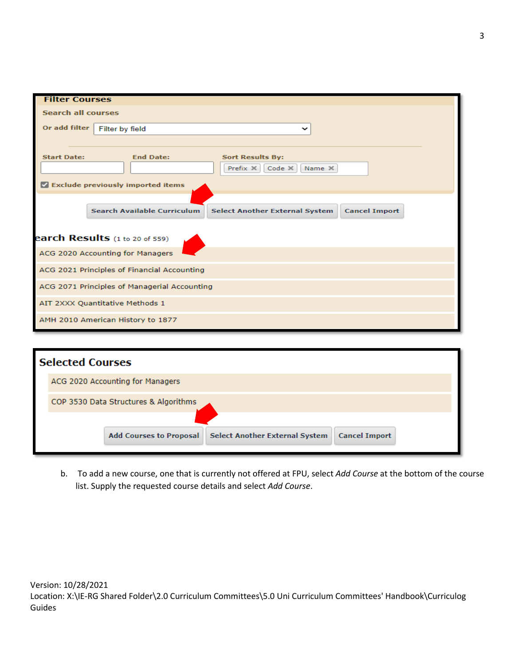| <b>Filter Courses</b>                        |                                                                                              |  |  |  |  |
|----------------------------------------------|----------------------------------------------------------------------------------------------|--|--|--|--|
| <b>Search all courses</b>                    |                                                                                              |  |  |  |  |
| Or add filter                                | Filter by field<br>◡                                                                         |  |  |  |  |
|                                              |                                                                                              |  |  |  |  |
| <b>Start Date:</b>                           | <b>End Date:</b><br><b>Sort Results By:</b>                                                  |  |  |  |  |
|                                              | Prefix $\times$<br>$Code \timesName X$                                                       |  |  |  |  |
|                                              | Exclude previously imported items                                                            |  |  |  |  |
|                                              |                                                                                              |  |  |  |  |
|                                              | Search Available Curriculum<br><b>Select Another External System</b><br><b>Cancel Import</b> |  |  |  |  |
|                                              |                                                                                              |  |  |  |  |
|                                              | earch Results (1 to 20 of 559)                                                               |  |  |  |  |
|                                              | ACG 2020 Accounting for Managers                                                             |  |  |  |  |
| ACG 2021 Principles of Financial Accounting  |                                                                                              |  |  |  |  |
| ACG 2071 Principles of Managerial Accounting |                                                                                              |  |  |  |  |
| AIT 2XXX Quantitative Methods 1              |                                                                                              |  |  |  |  |
|                                              | AMH 2010 American History to 1877                                                            |  |  |  |  |

| <b>Selected Courses</b> |                                       |                                       |                      |  |
|-------------------------|---------------------------------------|---------------------------------------|----------------------|--|
|                         | ACG 2020 Accounting for Managers      |                                       |                      |  |
|                         | COP 3530 Data Structures & Algorithms |                                       |                      |  |
|                         |                                       |                                       |                      |  |
|                         | <b>Add Courses to Proposal</b>        | <b>Select Another External System</b> | <b>Cancel Import</b> |  |

b. To add a new course, one that is currently not offered at FPU, select *Add Course* at the bottom of the course list. Supply the requested course details and select *Add Course*.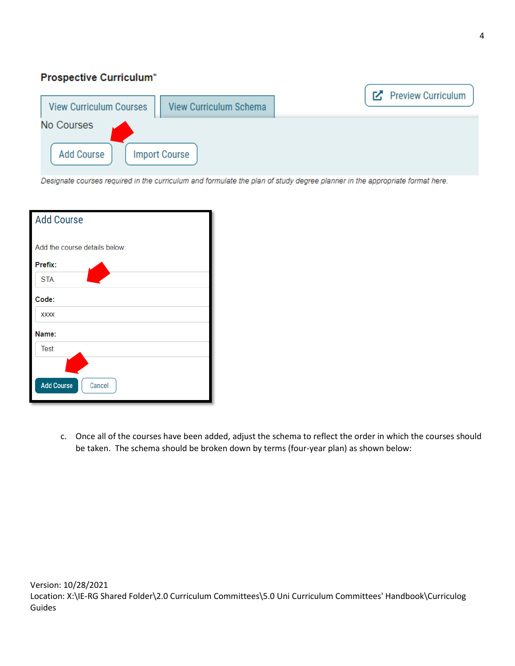## **Prospective Curriculum\***



Designate courses required in the curriculum and formulate the plan of study degree planner in the appropriate format here.



c. Once all of the courses have been added, adjust the schema to reflect the order in which the courses should be taken. The schema should be broken down by terms (four-year plan) as shown below: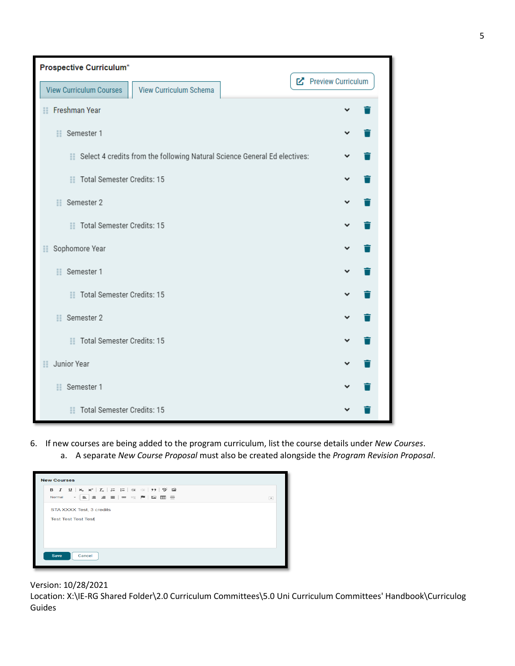| <b>Prospective Curriculum*</b>                                            |                             |
|---------------------------------------------------------------------------|-----------------------------|
| <b>View Curriculum Courses</b><br><b>View Curriculum Schema</b>           | <b>M</b> Preview Curriculum |
| <b>Freshman Year</b><br>m                                                 |                             |
| <b>II</b> Semester 1                                                      |                             |
| Select 4 credits from the following Natural Science General Ed electives: |                             |
| Total Semester Credits: 15                                                |                             |
| El Semester 2                                                             |                             |
| Total Semester Credits: 15                                                |                             |
| Sophomore Year<br>Η                                                       |                             |
| <b>El</b> Semester 1                                                      |                             |
| Total Semester Credits: 15                                                |                             |
| <b>El</b> Semester 2                                                      | □                           |
| Total Semester Credits: 15                                                |                             |
| Junior Year<br>π                                                          |                             |
| <b>El</b> Semester 1                                                      |                             |
| <b>Total Semester Credits: 15</b><br>н.                                   |                             |

- 6. If new courses are being added to the program curriculum, list the course details under *New Courses*.
	- a. A separate *New Course Proposal* must also be created alongside the *Program Revision Proposal*.

| <b>New Courses</b>                                     |                |
|--------------------------------------------------------|----------------|
| - 三三三三三〇〇〇 門田田子<br>Normal                              | $\overline{a}$ |
| STA XXXX Test, 3 credits<br><b>Test Test Test Test</b> |                |
| <b>Save</b><br>Cancel                                  |                |

Version: 10/28/2021

Location: X:\IE-RG Shared Folder\2.0 Curriculum Committees\5.0 Uni Curriculum Committees' Handbook\Curriculog Guides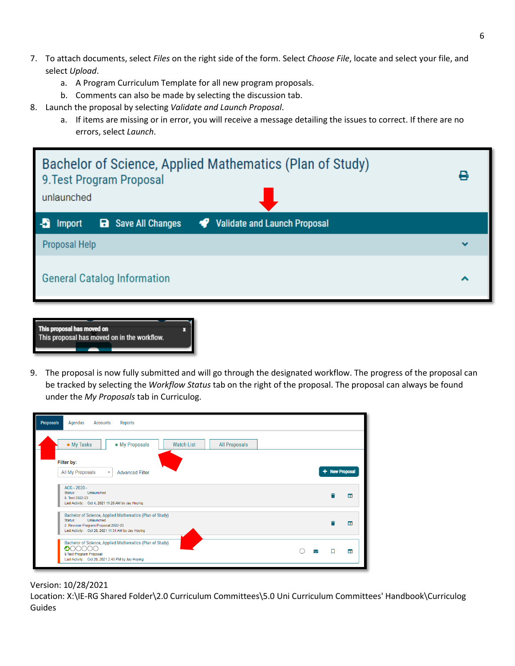- 7. To attach documents, select *Files* on the right side of the form. Select *Choose File*, locate and select your file, and select *Upload*.
	- a. A Program Curriculum Template for all new program proposals.
	- b. Comments can also be made by selecting the discussion tab.
- 8. Launch the proposal by selecting *Validate and Launch Proposal*.
	- a. If items are missing or in error, you will receive a message detailing the issues to correct. If there are no errors, select *Launch*.

| Bachelor of Science, Applied Mathematics (Plan of Study)<br>9. Test Program Proposal<br>unlaunched |              |
|----------------------------------------------------------------------------------------------------|--------------|
| Validate and Launch Proposal<br><b>a</b> Save All Changes<br>$\frac{1}{2}$ import                  |              |
| Proposal Help                                                                                      | $\checkmark$ |
| <b>General Catalog Information</b>                                                                 |              |



9. The proposal is now fully submitted and will go through the designated workflow. The progress of the proposal can be tracked by selecting the *Workflow Status* tab on the right of the proposal. The proposal can always be found under the *My Proposals* tab in Curriculog.

| <b>Proposals</b><br>Agendas<br>Accounts<br>Reports                                                                                                                              |  |                |   |
|---------------------------------------------------------------------------------------------------------------------------------------------------------------------------------|--|----------------|---|
| • My Tasks<br>• My Proposals<br><b>All Proposals</b><br><b>Watch List</b>                                                                                                       |  |                |   |
| Filter by:<br>All My Proposals<br><b>Advanced Filter</b><br>$\overline{\mathbf{v}}$                                                                                             |  | + New Proposal |   |
| ACG - 2020 -<br>Status:<br>Unlaunched<br>8. Test 2022-23<br>Last Activity: Oct 4, 2021 11:26 AM by Jay Hoying                                                                   |  |                | ш |
| Bachelor of Science, Applied Mathematics (Plan of Study)<br>Unlaunched<br>Status:<br>2. Revision Program Proposal 2022-23<br>Last Activity: Oct 20, 2021 11:31 AM by Jay Hoying |  |                | m |
| Bachelor of Science, Applied Mathematics (Plan of Study)<br>$\mathbf{O}$<br>7 Y Y Y<br>9. Test Program Proposal<br>Last Activity: Oct 20, 2021 2:43 PM by Jay Hoying            |  |                | ш |

#### Version: 10/28/2021

Location: X:\IE-RG Shared Folder\2.0 Curriculum Committees\5.0 Uni Curriculum Committees' Handbook\Curriculog Guides